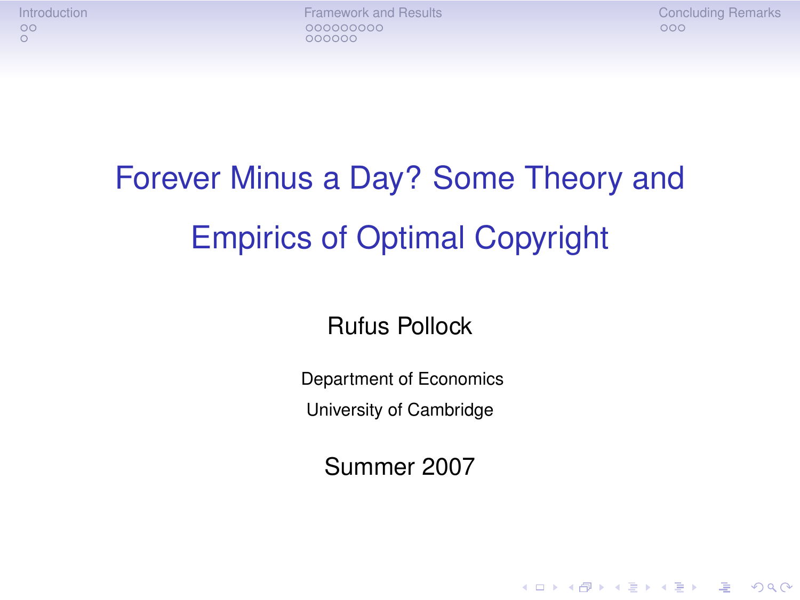[Introduction](#page-1-0) [Framework and Results](#page-4-0) [Concluding Remarks](#page-20-0) 000000

**KORKA STRAIN STRAIN** 

### Forever Minus a Day? Some Theory and Empirics of Optimal Copyright

Rufus Pollock

Department of Economics

University of Cambridge

Summer 2007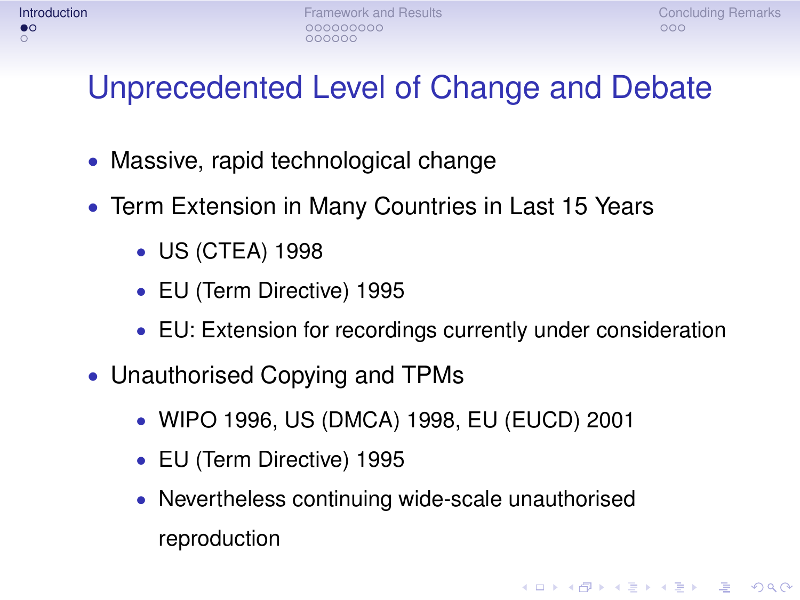**KOD CONTRACT A BOAR CONTRACT** 

### Unprecedented Level of Change and Debate

- Massive, rapid technological change
- Term Extension in Many Countries in Last 15 Years
	- US (CTEA) 1998
	- EU (Term Directive) 1995
	- EU: Extension for recordings currently under consideration
- <span id="page-1-0"></span>• Unauthorised Copying and TPMs
	- WIPO 1996, US (DMCA) 1998, EU (EUCD) 2001
	- EU (Term Directive) 1995
	- Nevertheless continuing wide-scale unauthorised reproduction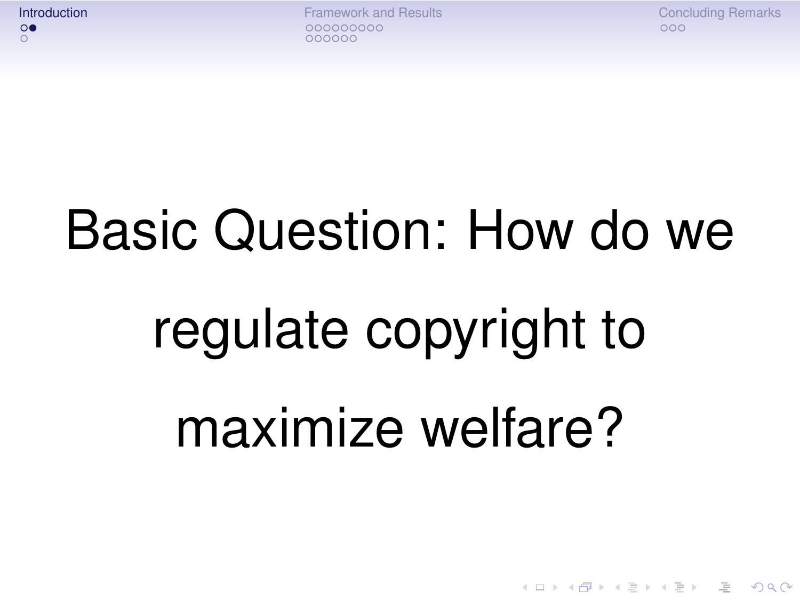**[Introduction](#page-1-0) [Framework and Results](#page-4-0) [Concluding Remarks](#page-20-0)** Concluding Remarks Concluding Remarks 000000

**KOD KAD KED KED E YOUR** 

### Basic Question: How do we

# regulate copyright to maximize welfare?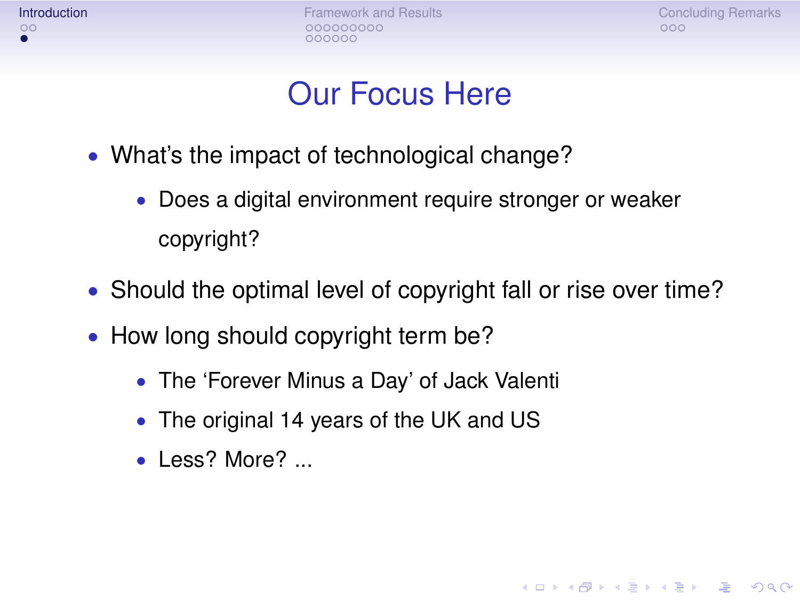**[Introduction](#page-1-0) [Framework and Results](#page-4-0) [Concluding Remarks](#page-20-0)** Concluding Remarks Concluding Remarks 000000

A DIA K F K E A E A K FH K K H K K K K K

### Our Focus Here

- What's the impact of technological change?
	- Does a digital environment require stronger or weaker copyright?
- Should the optimal level of copyright fall or rise over time?
- How long should copyright term be?
	- The 'Forever Minus a Day' of Jack Valenti
	- The original 14 years of the UK and US
	- Less? More? ...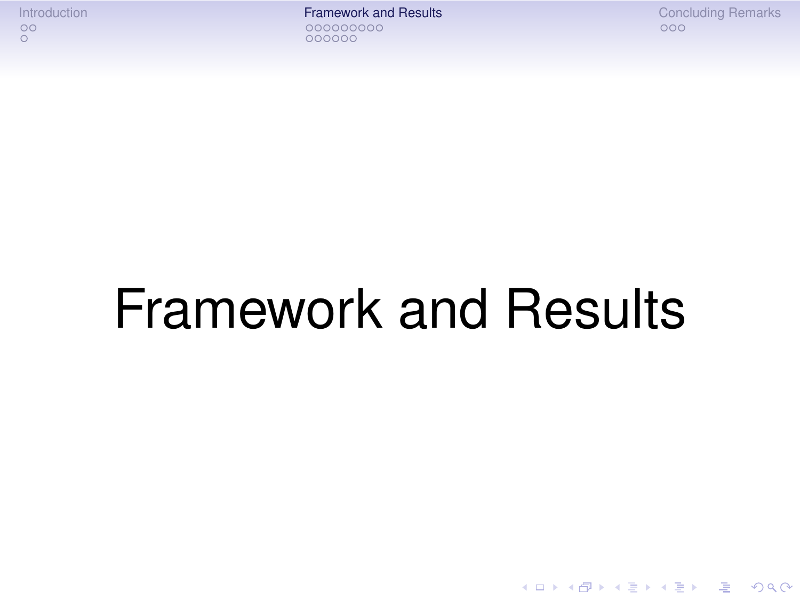[Introduction](#page-1-0) [Framework and Results](#page-4-0) [Concluding Remarks](#page-20-0) 000000

イロト (個) (ミ) (ミ) (ミ) ミーの女(や)

## <span id="page-4-0"></span>Framework and Results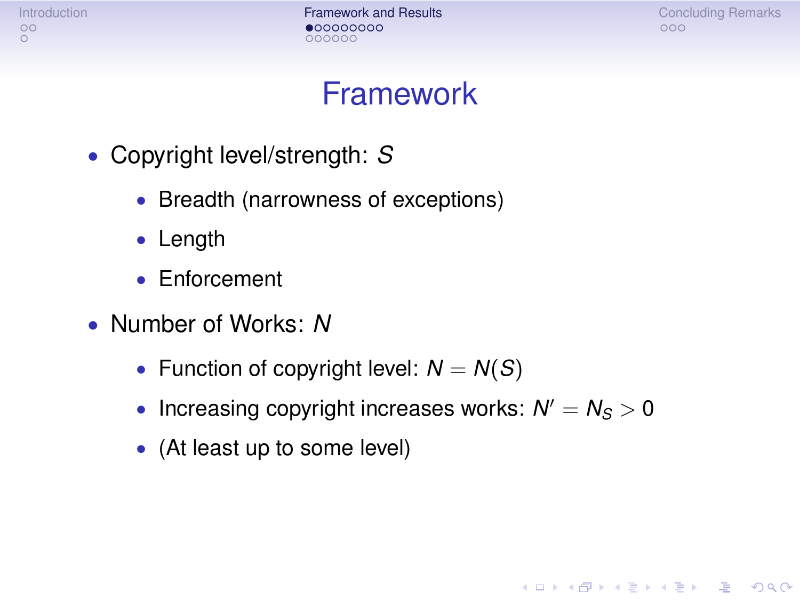[Introduction](#page-1-0) **[Framework and Results](#page-4-0)** [Concluding Remarks](#page-20-0) Concluding Remarks 000000

A DIA K F K E A E A K FH K K H K K K K K

#### Framework

- Copyright level/strength: *S*
	- Breadth (narrowness of exceptions)
	- Length
	- Enforcement
- Number of Works: *N*
	- Function of copyright level:  $N = N(S)$
	- Increasing copyright increases works:  $N' = N_S > 0$
	- (At least up to some level)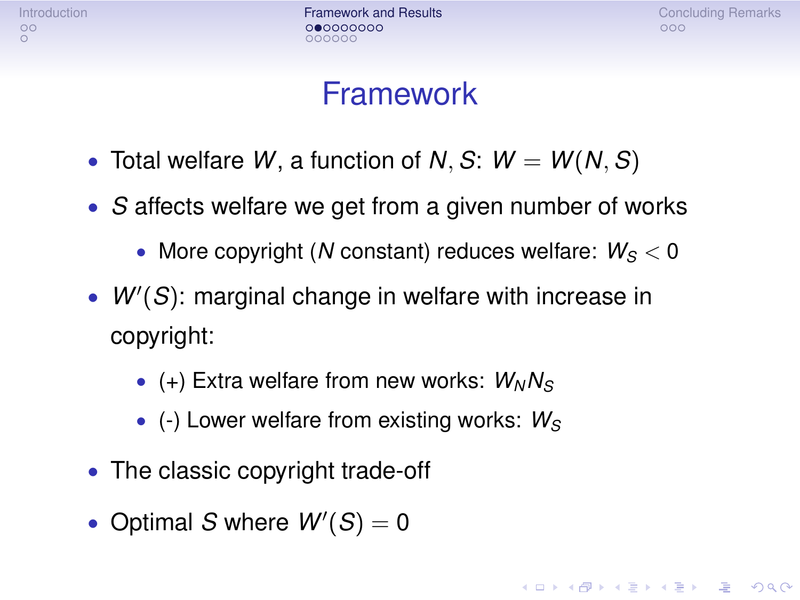[Introduction](#page-1-0) **[Framework and Results](#page-4-0)** [Concluding Remarks](#page-20-0) Concluding Remarks 000000

#### Framework

- Total welfare *W*, a function of *N*, *S*:  $W = W(N, S)$
- *S* affects welfare we get from a given number of works
	- More copyright (*N* constant) reduces welfare:  $W_S < 0$
- $\bullet$   $W'(S)$ : marginal change in welfare with increase in copyright:
	- (+) Extra welfare from new works:  $W_N N_S$
	- (-) Lower welfare from existing works: *W<sup>S</sup>*
- The classic copyright trade-off
- Optimal *S* where  $W'(S) = 0$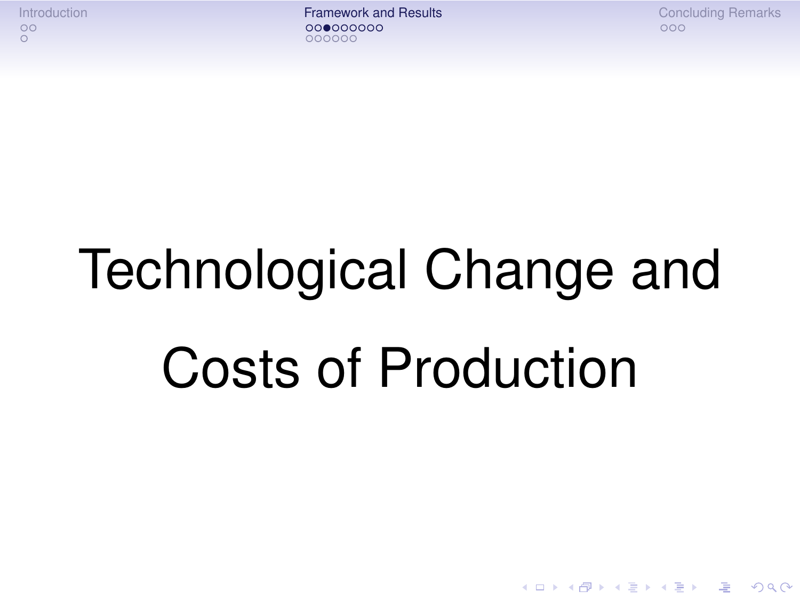[Introduction](#page-1-0) **[Framework and Results](#page-4-0)** [Concluding Remarks](#page-20-0) Concluding Remarks 000000

A DIA K F K E A E A K FH K K H K K K K K

# Technological Change and Costs of Production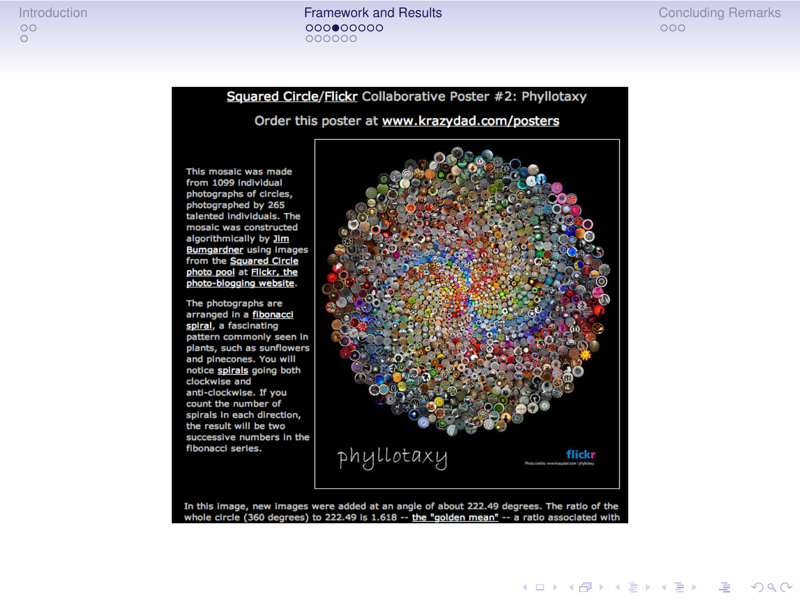[Introduction](#page-1-0) [Framework and Results](#page-4-0) [Concluding Remarks](#page-20-0)000000

Squared Circle/Flickr Collaborative Poster #2: Phyllotaxy

Order this poster at www.krazydad.com/posters

This mosaic was made from 1099 individual photographs of circles. photographed by 265 talented individuals. The mosaic was constructed algorithmically by Jim Bumgardner using images from the Squared Circle photo pool at Flickr, the photo-blogging website.

The photographs are arranged in a fibonacci spiral, a fascinating pattern commonly seen in plants, such as sunflowers and pinecones. You will notice spirals going both clockwise and anti-clockwise. If you count the number of spirals in each direction. the result will be two successive numbers in the fibonacci series.



In this image, new images were added at an angle of about 222.49 degrees. The ratio of the whole circle (360 degrees) to 222.49 is  $1.618 -$  the "golden mean"  $-$  a ratio associated with

**KO K (FIX KE) K E V GA CH**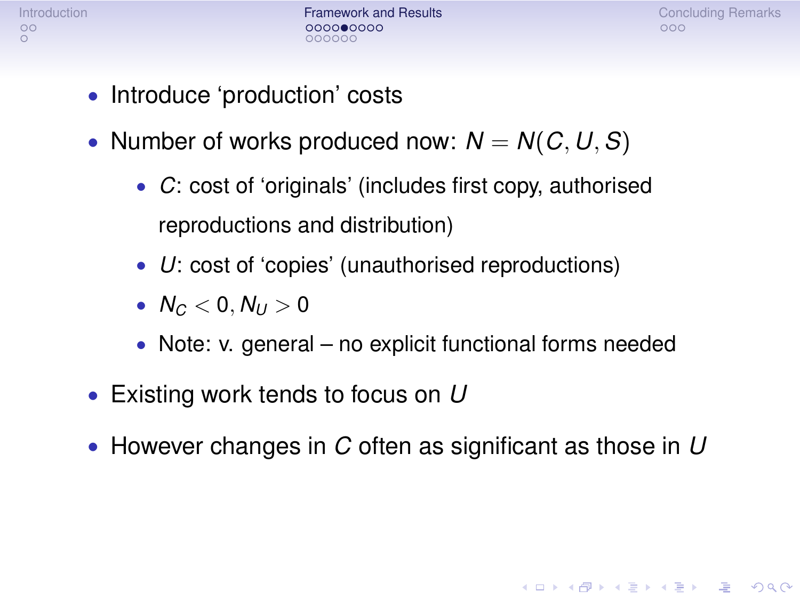[Introduction](#page-1-0) **[Framework and Results](#page-4-0)** [Concluding Remarks](#page-20-0) Concluding Remarks 000000

A DIA K F K E A E A K FH K K H K K K K K

- Introduce 'production' costs
- Number of works produced now:  $N = N(C, U, S)$ 
	- *C*: cost of 'originals' (includes first copy, authorised reproductions and distribution)
	- *U*: cost of 'copies' (unauthorised reproductions)
	- $N_c < 0, N_U > 0$
	- Note: v. general no explicit functional forms needed
- Existing work tends to focus on *U*
- However changes in *C* often as significant as those in *U*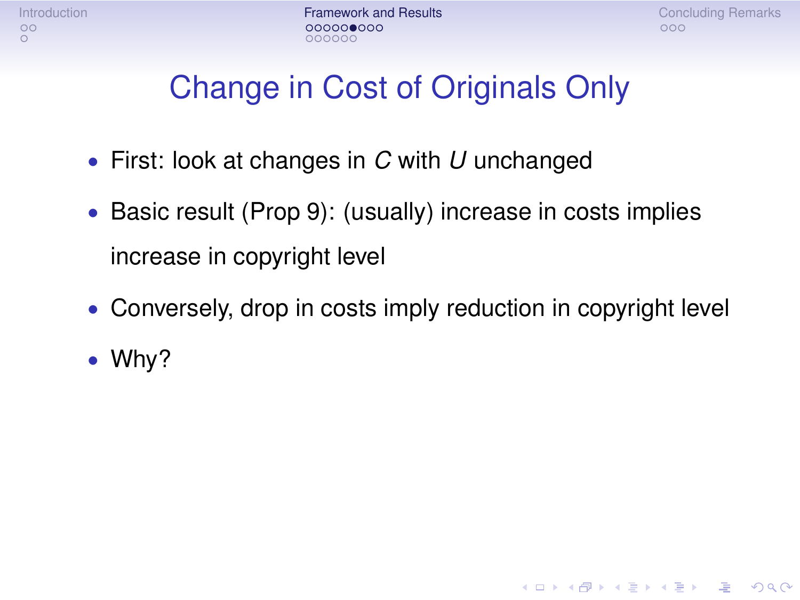[Introduction](#page-1-0) [Framework and Results](#page-4-0) [Concluding Remarks](#page-20-0) 000000

A DIA K F K E A E A K FH K K H K K K K K

### Change in Cost of Originals Only

- First: look at changes in *C* with *U* unchanged
- Basic result (Prop 9): (usually) increase in costs implies increase in copyright level
- Conversely, drop in costs imply reduction in copyright level
- Why?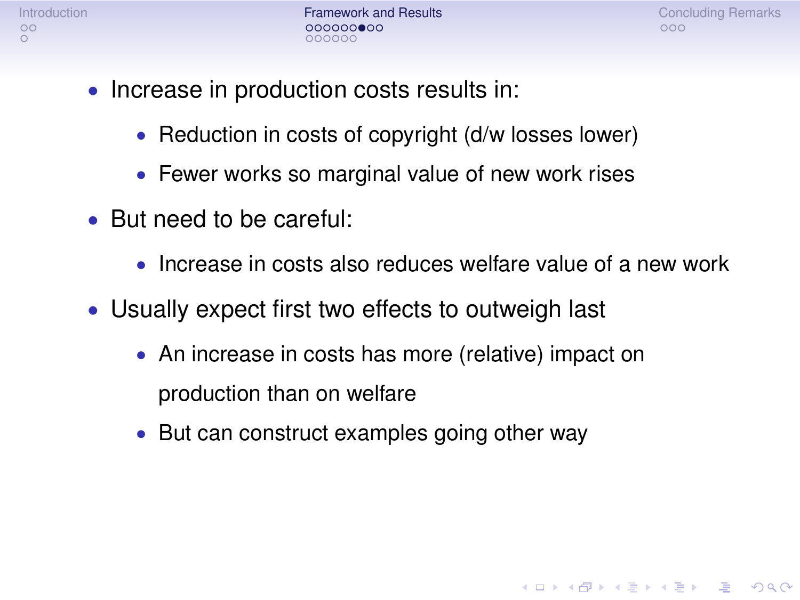[Introduction](#page-1-0) **[Framework and Results](#page-4-0)** [Concluding Remarks](#page-20-0) Concluding Remarks nnnnnr

A DIA K F K E A E A K FH K K H K K K K K

- Increase in production costs results in:
	- Reduction in costs of copyright (d/w losses lower)
	- Fewer works so marginal value of new work rises
- But need to be careful:
	- Increase in costs also reduces welfare value of a new work
- Usually expect first two effects to outweigh last
	- An increase in costs has more (relative) impact on production than on welfare
	- But can construct examples going other way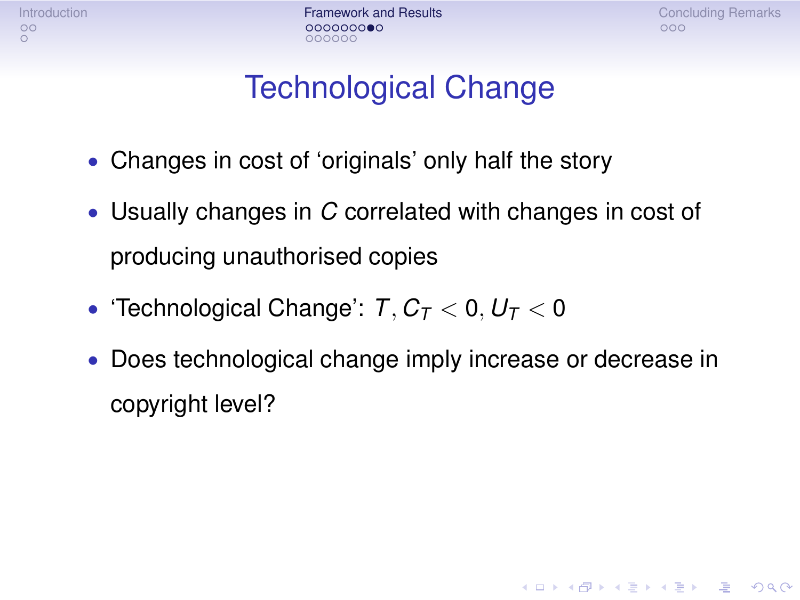[Introduction](#page-1-0) **[Framework and Results](#page-4-0)** [Concluding Remarks](#page-20-0) Concluding Remarks 000000

**KORKA STRAIN STRAIN** 

### Technological Change

- Changes in cost of 'originals' only half the story
- Usually changes in *C* correlated with changes in cost of producing unauthorised copies
- 'Technological Change':  $T, C_T < 0, U_T < 0$
- Does technological change imply increase or decrease in copyright level?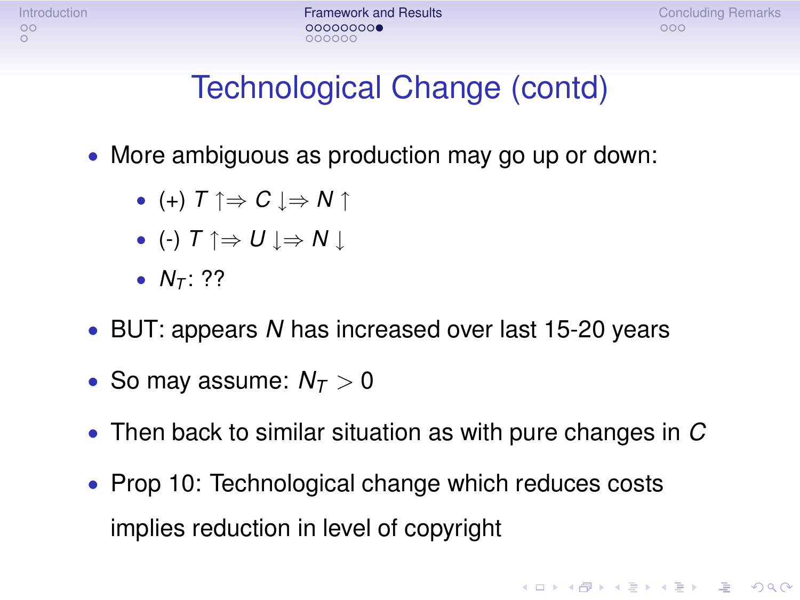[Introduction](#page-1-0) **[Framework and Results](#page-4-0)** [Concluding Remarks](#page-20-0) Concluding Remarks nnnnnr

**KORKA STRAIN STRAIN** 

### Technological Change (contd)

- More ambiguous as production may go up or down:
	- $\bullet$  (+)  $\top \uparrow \Rightarrow C \models N \uparrow$
	- (-)  $T \uparrow \Rightarrow U \downarrow \Rightarrow N \downarrow$
	- $N_{\tau}$ : ??
- BUT: appears *N* has increased over last 15-20 years
- So may assume:  $N_T > 0$
- Then back to similar situation as with pure changes in *C*
- Prop 10: Technological change which reduces costs implies reduction in level of copyright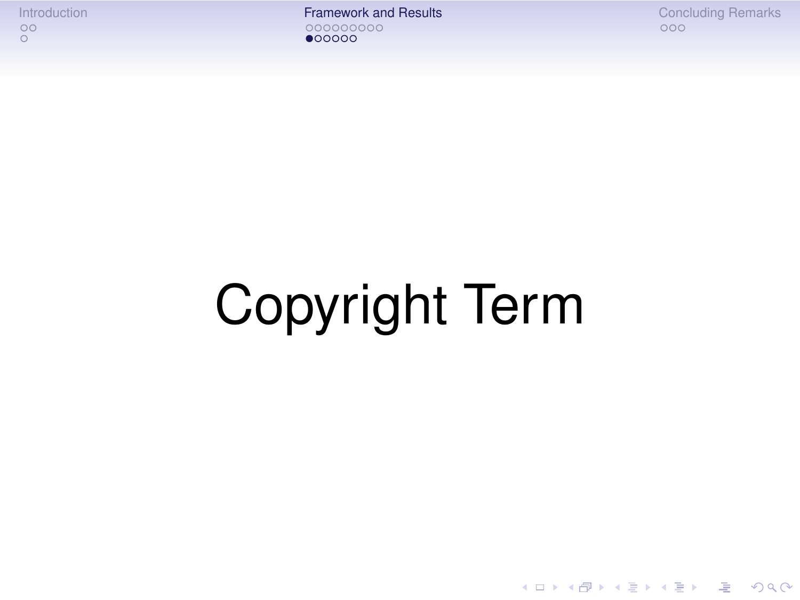[Introduction](#page-1-0) [Framework and Results](#page-4-0) [Concluding Remarks](#page-20-0)  $000000$ 

K ロ ▶ K @ ▶ K 할 X X 할 X | 할 | X 9 Q Q ·

# Copyright Term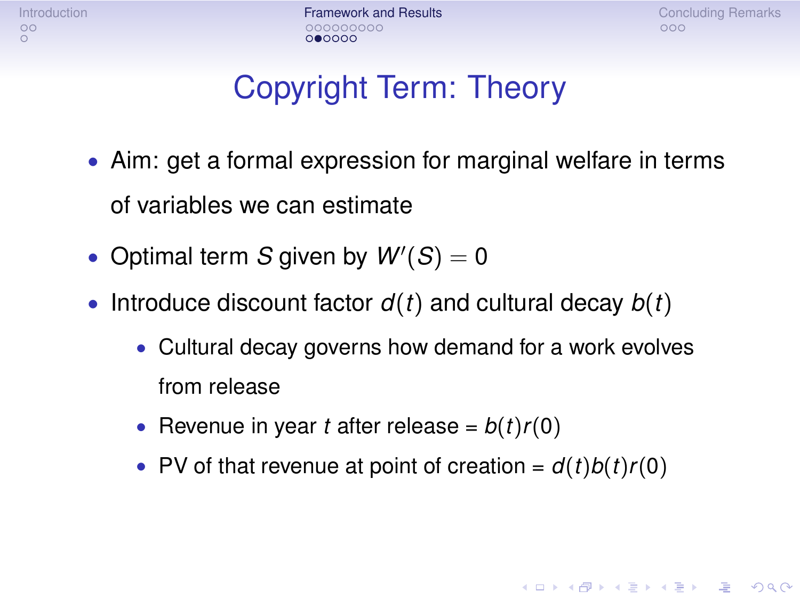[Introduction](#page-1-0) **[Framework and Results](#page-4-0)** [Concluding Remarks](#page-20-0) Concluding Remarks looon 0●0000

**KORKA STRAIN STRAIN** 

### Copyright Term: Theory

- Aim: get a formal expression for marginal welfare in terms of variables we can estimate
- Optimal term *S* given by  $W'(S) = 0$
- Introduce discount factor *d*(*t*) and cultural decay *b*(*t*)
	- Cultural decay governs how demand for a work evolves from release
	- Revenue in year *t* after release =  $b(t)r(0)$
	- PV of that revenue at point of creation =  $d(t)b(t)r(0)$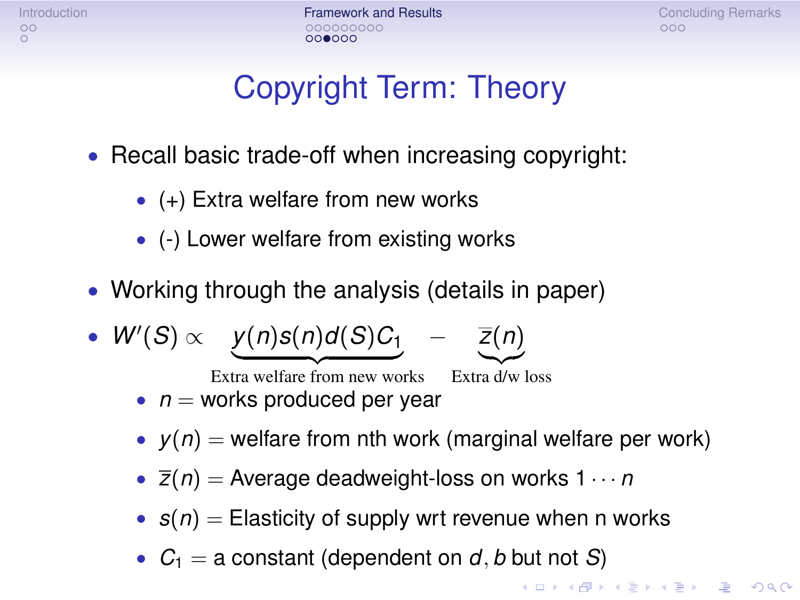[Introduction](#page-1-0) **[Framework and Results](#page-4-0)** [Concluding Remarks](#page-20-0)<br>  $\begin{array}{ccc}\n0 & 0 & 0 \\
0 & 0 & 0 \\
0 & 0 & 0\n\end{array}$ 00000C

### Copyright Term: Theory

- Recall basic trade-off when increasing copyright:
	- $\bullet$  (+) Extra welfare from new works
	- (-) Lower welfare from existing works
- Working through the analysis (details in paper)

• 
$$
W'(S) \propto \underbrace{y(n)s(n)d(S)C_1}_{\text{Extra welfare from new works}} - \underbrace{\overline{z}(n)}_{\text{Extra d/w loss}}
$$

- $\bullet$  *n* = works produced per year
- $y(n)$  = welfare from nth work (marginal welfare per work)
- $\overline{z}(n) =$  Average deadweight-loss on works  $1 \cdots n$
- $s(n)$  = Elasticity of supply wrt revenue when n works
- $C_1 = a$  constant (dependent on  $d, b$  but not *S*)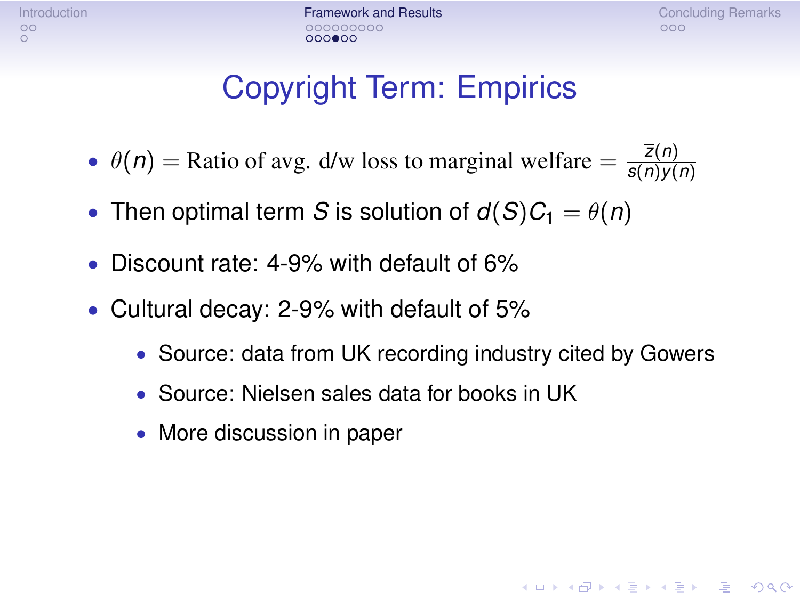[Introduction](#page-1-0) **[Framework and Results](#page-4-0)** [Concluding Remarks](#page-20-0) Concluding Remarks าดดดดด  $000000$ 

### Copyright Term: Empirics

- $\theta(n)$  = Ratio of avg. d/w loss to marginal welfare =  $\frac{\bar{z}(n)}{s(n)v}$ *s*(*n*)*y*(*n*)
- Then optimal term *S* is solution of  $d(S)C_1 = \theta(n)$
- Discount rate: 4-9% with default of 6%
- Cultural decay: 2-9% with default of 5%
	- Source: data from UK recording industry cited by Gowers
	- Source: Nielsen sales data for books in UK
	- More discussion in paper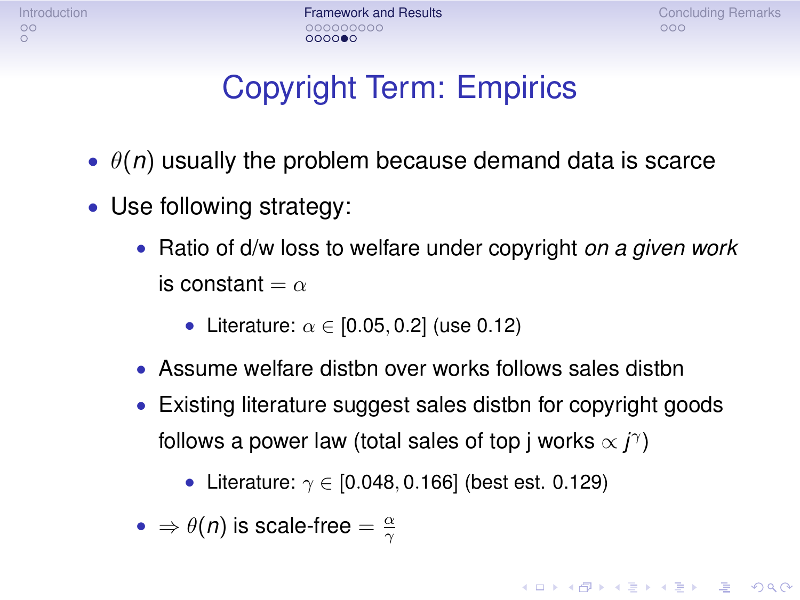[Introduction](#page-1-0) **[Framework and Results](#page-4-0)** [Concluding Remarks](#page-20-0) Concluding Remarks  $0000000$ 

**KORKA STRAIN STRAIN** 

### Copyright Term: Empirics

- $\theta(n)$  usually the problem because demand data is scarce
- Use following strategy:
	- Ratio of d/w loss to welfare under copyright *on a given work* is constant  $=\alpha$ 
		- Literature:  $\alpha \in [0.05, 0.2]$  (use 0.12)
	- Assume welfare distbn over works follows sales distbn
	- Existing literature suggest sales distbn for copyright goods follows a power law (total sales of top j works  $\propto j^{\gamma}$ )
		- Literature:  $\gamma \in [0.048, 0.166]$  (best est. 0.129)

• 
$$
\Rightarrow \theta(n)
$$
 is scale-free  $=$   $\frac{\alpha}{\gamma}$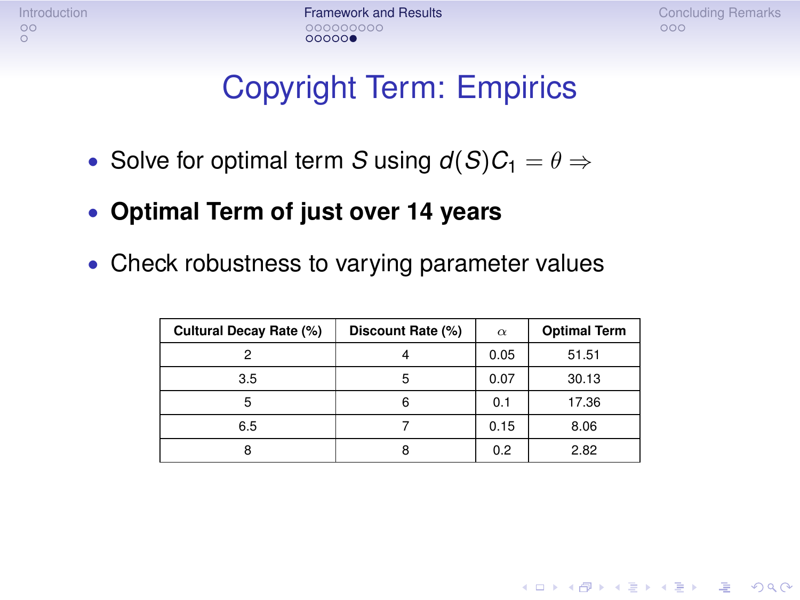[Introduction](#page-1-0) [Framework and Results](#page-4-0) [Concluding Remarks](#page-20-0)  $00000$ 

**KORKA STRAIN STRAIN** 

### Copyright Term: Empirics

- Solve for optimal term *S* using  $d(S)C_1 = \theta \Rightarrow$
- **Optimal Term of just over 14 years**
- Check robustness to varying parameter values

| Cultural Decay Rate (%) | Discount Rate (%) | $\alpha$ | <b>Optimal Term</b> |
|-------------------------|-------------------|----------|---------------------|
|                         |                   | 0.05     | 51.51               |
| 3.5                     | 5                 | 0.07     | 30.13               |
|                         | 6                 | 0.1      | 17.36               |
| 6.5                     |                   | 0.15     | 8.06                |
|                         | 8                 | 0.2      | 2.82                |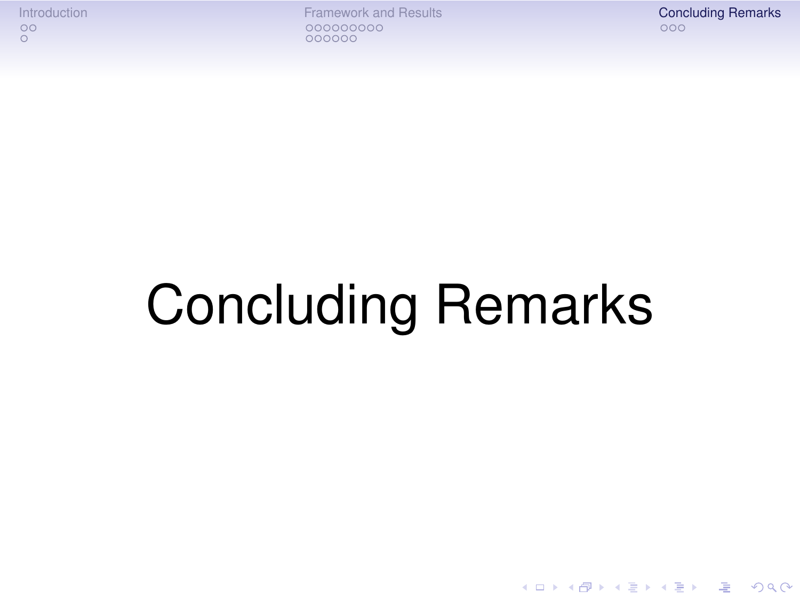[Introduction](#page-1-0) **[Framework and Results](#page-4-0)** [Concluding Remarks](#page-20-0) Concluding Remarks Concluding Remarks Concluding Remarks 000000

K ロ ▶ K @ ▶ K 할 > K 할 > 1 할 > 1 이익어

## <span id="page-20-0"></span>Concluding Remarks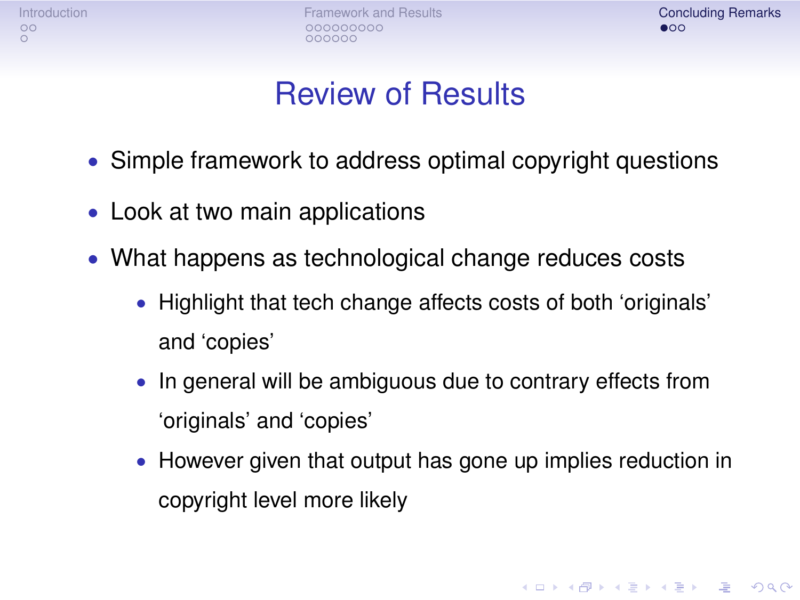[Introduction](#page-1-0) **[Framework and Results](#page-4-0) [Concluding Remarks](#page-20-0)** Concluding Remarks Concluding Remarks 000000

**KOD CONTRACT A BOAR CONTRACT** 

### Review of Results

- Simple framework to address optimal copyright questions
- Look at two main applications
- What happens as technological change reduces costs
	- Highlight that tech change affects costs of both 'originals' and 'copies'
	- In general will be ambiguous due to contrary effects from 'originals' and 'copies'
	- However given that output has gone up implies reduction in copyright level more likely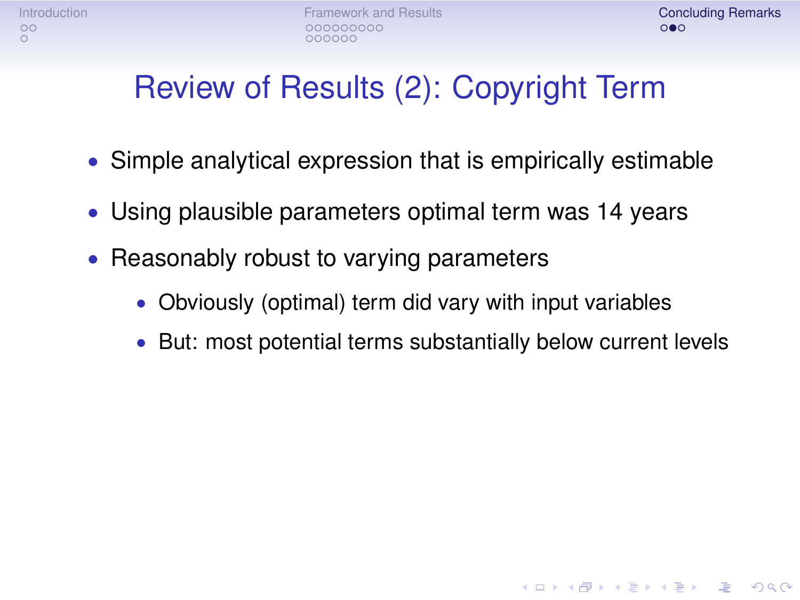**KORKA STRAIN STRAIN** 

### Review of Results (2): Copyright Term

- Simple analytical expression that is empirically estimable
- Using plausible parameters optimal term was 14 years
- Reasonably robust to varying parameters
	- Obviously (optimal) term did vary with input variables
	- But: most potential terms substantially below current levels